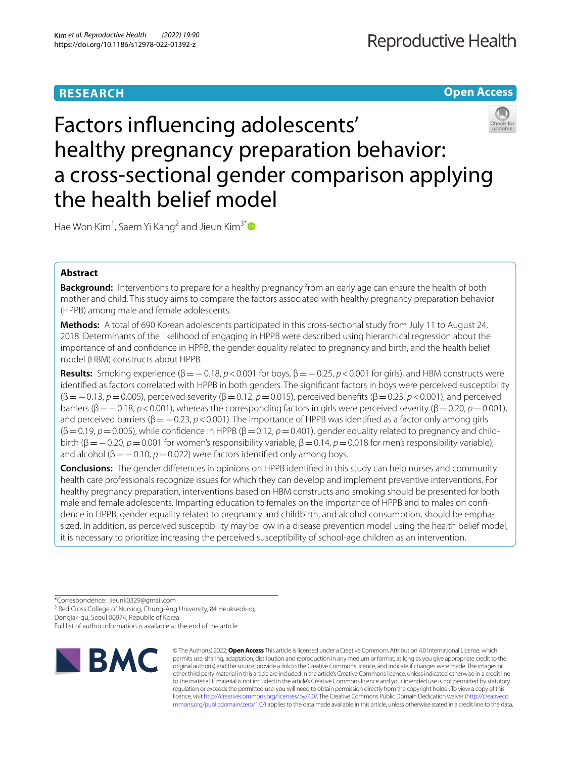# **RESEARCH**

**Open Access**

# Factors infuencing adolescents' healthy pregnancy preparation behavior: a cross-sectional gender comparison applying the health belief model

Hae Won Kim<sup>1</sup>, Saem Yi Kang<sup>2</sup> and Jieun Kim<sup>3[\\*](http://orcid.org/0000-0001-6831-1946)</sup>

# **Abstract**

**Background:** Interventions to prepare for a healthy pregnancy from an early age can ensure the health of both mother and child. This study aims to compare the factors associated with healthy pregnancy preparation behavior (HPPB) among male and female adolescents.

**Methods:** A total of 690 Korean adolescents participated in this cross-sectional study from July 11 to August 24, 2018. Determinants of the likelihood of engaging in HPPB were described using hierarchical regression about the importance of and confdence in HPPB, the gender equality related to pregnancy and birth, and the health belief model (HBM) constructs about HPPB.

**Results:** Smoking experience  $(\beta = -0.18, p < 0.001$  for boys,  $\beta = -0.25, p < 0.001$  for girls), and HBM constructs were identifed as factors correlated with HPPB in both genders. The signifcant factors in boys were perceived susceptibility (β=−0.13, *p*=0.005), perceived severity (β=0.12, *p*=0.015), perceived benefts (β=0.23, *p*<0.001), and perceived barriers (β=−0.18, *p*<0.001), whereas the corresponding factors in girls were perceived severity (β=0.20, *p*=0.001), and perceived barriers (β=−0.23, *p*<0.001). The importance of HPPB was identifed as a factor only among girls  $(\beta = 0.19, p = 0.005)$ , while confidence in HPPB  $(\beta = 0.12, p = 0.401)$ , gender equality related to pregnancy and childbirth (β=−0.20, *p*=0.001 for women's responsibility variable, β=0.14, *p*=0.018 for men's responsibility variable), and alcohol ( $β = −0.10$ ,  $p = 0.022$ ) were factors identified only among boys.

**Conclusions:** The gender diferences in opinions on HPPB identifed in this study can help nurses and community health care professionals recognize issues for which they can develop and implement preventive interventions. For healthy pregnancy preparation, interventions based on HBM constructs and smoking should be presented for both male and female adolescents. Imparting education to females on the importance of HPPB and to males on confdence in HPPB, gender equality related to pregnancy and childbirth, and alcohol consumption, should be emphasized. In addition, as perceived susceptibility may be low in a disease prevention model using the health belief model, it is necessary to prioritize increasing the perceived susceptibility of school-age children as an intervention.

<sup>3</sup> Red Cross College of Nursing, Chung-Ang University, 84 Heukseok-ro,

Dongjak-gu, Seoul 06974, Republic of Korea

Full list of author information is available at the end of the article



© The Author(s) 2022. **Open Access** This article is licensed under a Creative Commons Attribution 4.0 International License, which permits use, sharing, adaptation, distribution and reproduction in any medium or format, as long as you give appropriate credit to the original author(s) and the source, provide a link to the Creative Commons licence, and indicate if changes were made. The images or other third party material in this article are included in the article's Creative Commons licence, unless indicated otherwise in a credit line to the material. If material is not included in the article's Creative Commons licence and your intended use is not permitted by statutory regulation or exceeds the permitted use, you will need to obtain permission directly from the copyright holder. To view a copy of this licence, visit [http://creativecommons.org/licenses/by/4.0/.](http://creativecommons.org/licenses/by/4.0/) The Creative Commons Public Domain Dedication waiver ([http://creativeco](http://creativecommons.org/publicdomain/zero/1.0/) [mmons.org/publicdomain/zero/1.0/](http://creativecommons.org/publicdomain/zero/1.0/)) applies to the data made available in this article, unless otherwise stated in a credit line to the data.

<sup>\*</sup>Correspondence: jieunk0329@gmail.com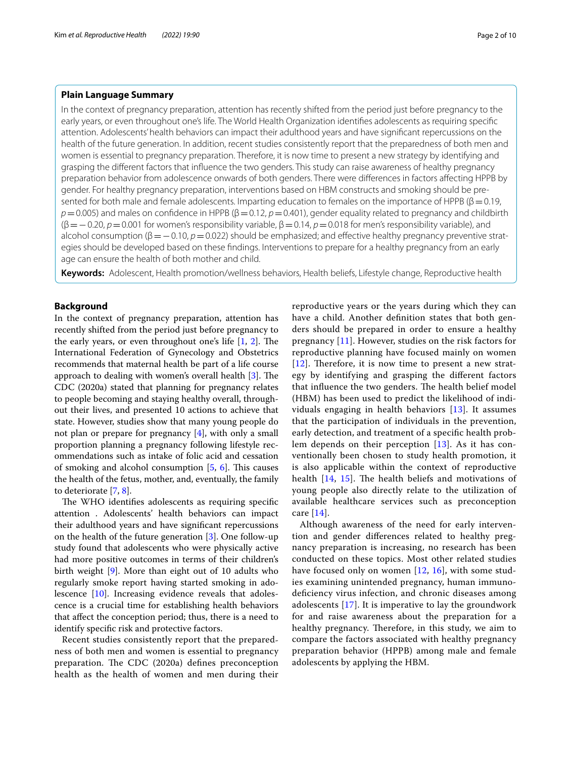# **Plain Language Summary**

In the context of pregnancy preparation, attention has recently shifted from the period just before pregnancy to the early years, or even throughout one's life. The World Health Organization identifes adolescents as requiring specifc attention. Adolescents' health behaviors can impact their adulthood years and have signifcant repercussions on the health of the future generation. In addition, recent studies consistently report that the preparedness of both men and women is essential to pregnancy preparation. Therefore, it is now time to present a new strategy by identifying and grasping the diferent factors that infuence the two genders. This study can raise awareness of healthy pregnancy preparation behavior from adolescence onwards of both genders. There were diferences in factors afecting HPPB by gender. For healthy pregnancy preparation, interventions based on HBM constructs and smoking should be presented for both male and female adolescents. Imparting education to females on the importance of HPPB ( $\beta$  = 0.19, *p*=0.005) and males on confidence in HPPB (β=0.12, *p*=0.401), gender equality related to pregnancy and childbirth (β=−0.20, *p*=0.001 for women's responsibility variable, β=0.14, *p*=0.018 for men's responsibility variable), and alcohol consumption (β=−0.10, *p*=0.022) should be emphasized; and efective healthy pregnancy preventive strategies should be developed based on these fndings. Interventions to prepare for a healthy pregnancy from an early age can ensure the health of both mother and child.

**Keywords:** Adolescent, Health promotion/wellness behaviors, Health beliefs, Lifestyle change, Reproductive health

# **Background**

In the context of pregnancy preparation, attention has recently shifted from the period just before pregnancy to the early years, or even throughout one's life  $[1, 2]$  $[1, 2]$  $[1, 2]$  $[1, 2]$  $[1, 2]$ . The International Federation of Gynecology and Obstetrics recommends that maternal health be part of a life course approach to dealing with women's overall health  $[3]$  $[3]$ . The CDC (2020a) stated that planning for pregnancy relates to people becoming and staying healthy overall, throughout their lives, and presented 10 actions to achieve that state. However, studies show that many young people do not plan or prepare for pregnancy [[4](#page-8-3)], with only a small proportion planning a pregnancy following lifestyle recommendations such as intake of folic acid and cessation of smoking and alcohol consumption  $[5, 6]$  $[5, 6]$  $[5, 6]$  $[5, 6]$  $[5, 6]$ . This causes the health of the fetus, mother, and, eventually, the family to deteriorate [[7,](#page-8-6) [8](#page-8-7)].

The WHO identifies adolescents as requiring specific attention . Adolescents' health behaviors can impact their adulthood years and have signifcant repercussions on the health of the future generation [[3\]](#page-8-2). One follow-up study found that adolescents who were physically active had more positive outcomes in terms of their children's birth weight [[9\]](#page-8-8). More than eight out of 10 adults who regularly smoke report having started smoking in adolescence [[10\]](#page-8-9). Increasing evidence reveals that adolescence is a crucial time for establishing health behaviors that afect the conception period; thus, there is a need to identify specifc risk and protective factors.

Recent studies consistently report that the preparedness of both men and women is essential to pregnancy preparation. The CDC  $(2020a)$  defines preconception health as the health of women and men during their reproductive years or the years during which they can have a child. Another defnition states that both genders should be prepared in order to ensure a healthy pregnancy [[11\]](#page-8-10). However, studies on the risk factors for reproductive planning have focused mainly on women  $[12]$  $[12]$  $[12]$ . Therefore, it is now time to present a new strategy by identifying and grasping the diferent factors that influence the two genders. The health belief model (HBM) has been used to predict the likelihood of individuals engaging in health behaviors [[13\]](#page-8-12). It assumes that the participation of individuals in the prevention, early detection, and treatment of a specifc health problem depends on their perception [[13](#page-8-12)]. As it has conventionally been chosen to study health promotion, it is also applicable within the context of reproductive health  $[14, 15]$  $[14, 15]$  $[14, 15]$  $[14, 15]$  $[14, 15]$ . The health beliefs and motivations of young people also directly relate to the utilization of available healthcare services such as preconception care [\[14](#page-8-13)].

Although awareness of the need for early intervention and gender diferences related to healthy pregnancy preparation is increasing, no research has been conducted on these topics. Most other related studies have focused only on women  $[12, 16]$  $[12, 16]$  $[12, 16]$ , with some studies examining unintended pregnancy, human immunodeficiency virus infection, and chronic diseases among adolescents [[17\]](#page-8-16). It is imperative to lay the groundwork for and raise awareness about the preparation for a healthy pregnancy. Therefore, in this study, we aim to compare the factors associated with healthy pregnancy preparation behavior (HPPB) among male and female adolescents by applying the HBM.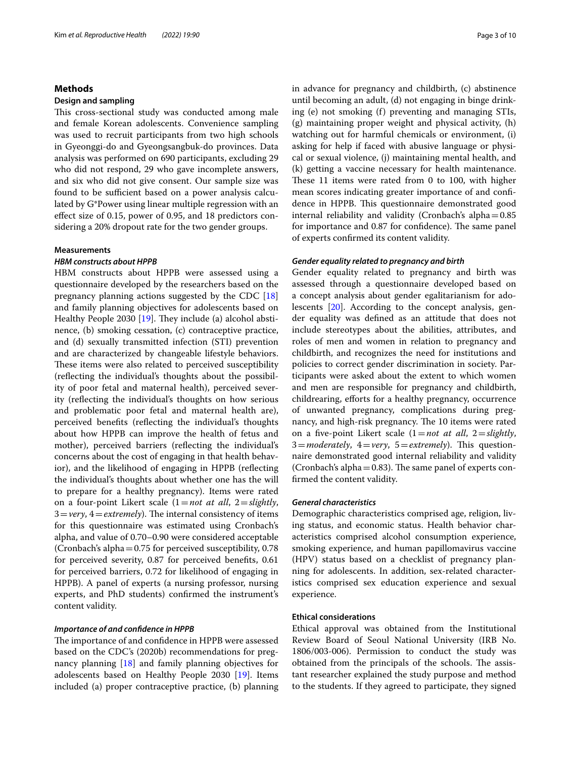# **Methods**

# **Design and sampling**

This cross-sectional study was conducted among male and female Korean adolescents. Convenience sampling was used to recruit participants from two high schools in Gyeonggi-do and Gyeongsangbuk-do provinces. Data analysis was performed on 690 participants, excluding 29 who did not respond, 29 who gave incomplete answers, and six who did not give consent. Our sample size was found to be sufficient based on a power analysis calculated by G\*Power using linear multiple regression with an efect size of 0.15, power of 0.95, and 18 predictors considering a 20% dropout rate for the two gender groups.

# **Measurements**

# *HBM constructs about HPPB*

HBM constructs about HPPB were assessed using a questionnaire developed by the researchers based on the pregnancy planning actions suggested by the CDC [[18](#page-8-17)] and family planning objectives for adolescents based on Healthy People 2030  $[19]$  $[19]$ . They include (a) alcohol abstinence, (b) smoking cessation, (c) contraceptive practice, and (d) sexually transmitted infection (STI) prevention and are characterized by changeable lifestyle behaviors. These items were also related to perceived susceptibility (refecting the individual's thoughts about the possibility of poor fetal and maternal health), perceived severity (refecting the individual's thoughts on how serious and problematic poor fetal and maternal health are), perceived benefts (refecting the individual's thoughts about how HPPB can improve the health of fetus and mother), perceived barriers (refecting the individual's concerns about the cost of engaging in that health behavior), and the likelihood of engaging in HPPB (refecting the individual's thoughts about whether one has the will to prepare for a healthy pregnancy). Items were rated on a four-point Likert scale (1=*not at all*, 2=*slightly*,  $3 = \text{very}$ ,  $4 = \text{extremely}$ ). The internal consistency of items for this questionnaire was estimated using Cronbach's alpha, and value of 0.70–0.90 were considered acceptable (Cronbach's alpha=0.75 for perceived susceptibility, 0.78 for perceived severity, 0.87 for perceived benefts, 0.61 for perceived barriers, 0.72 for likelihood of engaging in HPPB). A panel of experts (a nursing professor, nursing experts, and PhD students) confrmed the instrument's content validity.

#### *Importance of and confdence in HPPB*

The importance of and confidence in HPPB were assessed based on the CDC's (2020b) recommendations for pregnancy planning [\[18](#page-8-17)] and family planning objectives for adolescents based on Healthy People 2030 [[19\]](#page-8-18). Items included (a) proper contraceptive practice, (b) planning in advance for pregnancy and childbirth, (c) abstinence until becoming an adult, (d) not engaging in binge drinking (e) not smoking (f) preventing and managing STIs, (g) maintaining proper weight and physical activity, (h) watching out for harmful chemicals or environment, (i) asking for help if faced with abusive language or physical or sexual violence, (j) maintaining mental health, and (k) getting a vaccine necessary for health maintenance. These 11 items were rated from 0 to 100, with higher mean scores indicating greater importance of and confdence in HPPB. This questionnaire demonstrated good internal reliability and validity (Cronbach's alpha $=0.85$ for importance and 0.87 for confidence). The same panel of experts confrmed its content validity.

# *Gender equality related to pregnancy and birth*

Gender equality related to pregnancy and birth was assessed through a questionnaire developed based on a concept analysis about gender egalitarianism for adolescents [\[20\]](#page-8-19). According to the concept analysis, gender equality was defned as an attitude that does not include stereotypes about the abilities, attributes, and roles of men and women in relation to pregnancy and childbirth, and recognizes the need for institutions and policies to correct gender discrimination in society. Participants were asked about the extent to which women and men are responsible for pregnancy and childbirth, childrearing, efforts for a healthy pregnancy, occurrence of unwanted pregnancy, complications during pregnancy, and high-risk pregnancy. The 10 items were rated on a fve-point Likert scale (1=*not at all*, 2=*slightly*,  $3 = moderately, 4 = very, 5 = extremely.$  This questionnaire demonstrated good internal reliability and validity (Cronbach's alpha $=0.83$ ). The same panel of experts confrmed the content validity.

# *General characteristics*

Demographic characteristics comprised age, religion, living status, and economic status. Health behavior characteristics comprised alcohol consumption experience, smoking experience, and human papillomavirus vaccine (HPV) status based on a checklist of pregnancy planning for adolescents. In addition, sex-related characteristics comprised sex education experience and sexual experience.

# **Ethical considerations**

Ethical approval was obtained from the Institutional Review Board of Seoul National University (IRB No. 1806/003-006). Permission to conduct the study was obtained from the principals of the schools. The assistant researcher explained the study purpose and method to the students. If they agreed to participate, they signed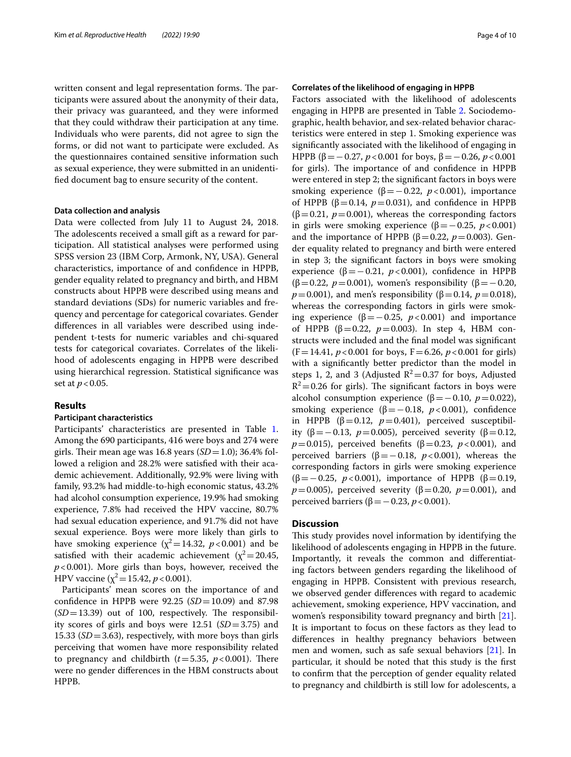written consent and legal representation forms. The participants were assured about the anonymity of their data, their privacy was guaranteed, and they were informed that they could withdraw their participation at any time. Individuals who were parents, did not agree to sign the forms, or did not want to participate were excluded. As the questionnaires contained sensitive information such as sexual experience, they were submitted in an unidentifed document bag to ensure security of the content.

#### **Data collection and analysis**

Data were collected from July 11 to August 24, 2018. The adolescents received a small gift as a reward for participation. All statistical analyses were performed using SPSS version 23 (IBM Corp, Armonk, NY, USA). General characteristics, importance of and confdence in HPPB, gender equality related to pregnancy and birth, and HBM constructs about HPPB were described using means and standard deviations (SDs) for numeric variables and frequency and percentage for categorical covariates. Gender diferences in all variables were described using independent t-tests for numeric variables and chi-squared tests for categorical covariates. Correlates of the likelihood of adolescents engaging in HPPB were described using hierarchical regression. Statistical signifcance was set at *p* < 0.05.

# **Results**

# **Participant characteristics**

Participants' characteristics are presented in Table [1](#page-4-0). Among the 690 participants, 416 were boys and 274 were girls. Their mean age was  $16.8$  years  $(SD=1.0)$ ; 36.4% followed a religion and 28.2% were satisfed with their academic achievement. Additionally, 92.9% were living with family, 93.2% had middle-to-high economic status, 43.2% had alcohol consumption experience, 19.9% had smoking experience, 7.8% had received the HPV vaccine, 80.7% had sexual education experience, and 91.7% did not have sexual experience. Boys were more likely than girls to have smoking experience  $(\chi^2=14.32, p<0.001)$  and be satisfied with their academic achievement ( $\chi^2$  = 20.45, *p*<0.001). More girls than boys, however, received the HPV vaccine ( $\chi^2$ =15.42, *p* < 0.001).

Participants' mean scores on the importance of and confdence in HPPB were 92.25 (*SD*=10.09) and 87.98  $(SD=13.39)$  out of 100, respectively. The responsibility scores of girls and boys were 12.51 (*SD*=3.75) and 15.33 (*SD*=3.63), respectively, with more boys than girls perceiving that women have more responsibility related to pregnancy and childbirth  $(t=5.35, p<0.001)$ . There were no gender diferences in the HBM constructs about HPPB.

# **Correlates of the likelihood of engaging in HPPB**

Factors associated with the likelihood of adolescents engaging in HPPB are presented in Table [2.](#page-6-0) Sociodemographic, health behavior, and sex-related behavior characteristics were entered in step 1. Smoking experience was signifcantly associated with the likelihood of engaging in HPPB (β = −0.27, *p* < 0.001 for boys, β = −0.26, *p* < 0.001 for girls). The importance of and confidence in HPPB were entered in step 2; the signifcant factors in boys were smoking experience ( $\beta = -0.22$ ,  $p < 0.001$ ), importance of HPPB ( $β = 0.14$ ,  $p = 0.031$ ), and confidence in HPPB  $(\beta=0.21, p=0.001)$ , whereas the corresponding factors in girls were smoking experience  $(\beta = -0.25, p < 0.001)$ and the importance of HPPB ( $\beta$ =0.22, *p*=0.003). Gender equality related to pregnancy and birth were entered in step 3; the signifcant factors in boys were smoking experience ( $β = 0.21$ ,  $p < 0.001$ ), confidence in HPPB (β=0.22, *p*=0.001), women's responsibility (β=-0.20, *p*=0.001), and men's responsibility (β=0.14, *p*=0.018), whereas the corresponding factors in girls were smoking experience (β=−0.25, *p*<0.001) and importance of HPPB (β=0.22, *p*=0.003). In step 4, HBM constructs were included and the fnal model was signifcant  $(F=14.41, p<0.001$  for boys,  $F=6.26, p<0.001$  for girls) with a signifcantly better predictor than the model in steps 1, 2, and 3 (Adjusted  $R^2$  = 0.37 for boys, Adjusted  $R^2$ =0.26 for girls). The significant factors in boys were alcohol consumption experience (β = −0.10, *p* = 0.022), smoking experience ( $β = −0.18$ ,  $p < 0.001$ ), confidence in HPPB ( $β = 0.12$ ,  $p = 0.401$ ), perceived susceptibility (β = − 0.13, *p* = 0.005), perceived severity (β = 0.12, *p*=0.015), perceived benefits (β=0.23, *p*<0.001), and perceived barriers (β=−0.18, *p*<0.001), whereas the corresponding factors in girls were smoking experience (β=−0.25, *p*<0.001), importance of HPPB (β=0.19, *p*=0.005), perceived severity (β=0.20, *p*=0.001), and perceived barriers (β=−0.23, *p*<0.001).

# **Discussion**

This study provides novel information by identifying the likelihood of adolescents engaging in HPPB in the future. Importantly, it reveals the common and diferentiating factors between genders regarding the likelihood of engaging in HPPB. Consistent with previous research, we observed gender diferences with regard to academic achievement, smoking experience, HPV vaccination, and women's responsibility toward pregnancy and birth [\[21](#page-8-20)]. It is important to focus on these factors as they lead to diferences in healthy pregnancy behaviors between men and women, such as safe sexual behaviors [[21\]](#page-8-20). In particular, it should be noted that this study is the frst to confrm that the perception of gender equality related to pregnancy and childbirth is still low for adolescents, a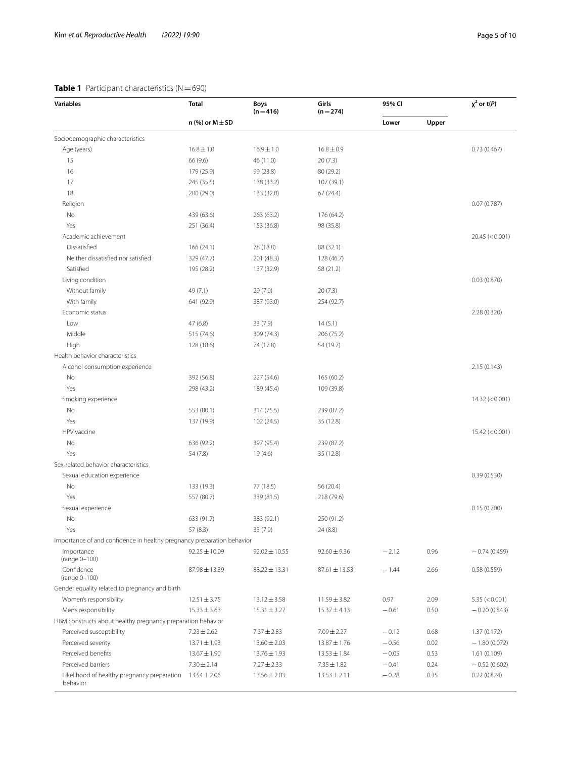# <span id="page-4-0"></span>**Table 1** Participant characteristics (N=690)

| <b>Variables</b>                                                       | <b>Total</b>        | <b>Boys</b><br>$(n=416)$ | Girls<br>$(n = 274)$ | 95% CI  |       | $\chi^2$ or t(P)      |
|------------------------------------------------------------------------|---------------------|--------------------------|----------------------|---------|-------|-----------------------|
|                                                                        | n (%) or $M \pm SD$ |                          |                      | Lower   | Upper |                       |
| Sociodemographic characteristics                                       |                     |                          |                      |         |       |                       |
| Age (years)                                                            | $16.8 \pm 1.0$      | $16.9 \pm 1.0$           | $16.8 \pm 0.9$       |         |       | 0.73(0.467)           |
| 15                                                                     | 66 (9.6)            | 46 (11.0)                | 20(7.3)              |         |       |                       |
| 16                                                                     | 179 (25.9)          | 99 (23.8)                | 80 (29.2)            |         |       |                       |
| 17                                                                     | 245 (35.5)          | 138 (33.2)               | 107 (39.1)           |         |       |                       |
| 18                                                                     | 200 (29.0)          | 133 (32.0)               | 67 (24.4)            |         |       |                       |
| Religion                                                               |                     |                          |                      |         |       | 0.07(0.787)           |
| No                                                                     | 439 (63.6)          | 263 (63.2)               | 176 (64.2)           |         |       |                       |
| Yes                                                                    | 251 (36.4)          | 153 (36.8)               | 98 (35.8)            |         |       |                       |
| Academic achievement                                                   |                     |                          |                      |         |       | 20.45 (< 0.001)       |
| Dissatisfied                                                           | 166 (24.1)          | 78 (18.8)                | 88 (32.1)            |         |       |                       |
| Neither dissatisfied nor satisfied                                     | 329 (47.7)          | 201 (48.3)               | 128 (46.7)           |         |       |                       |
| Satisfied                                                              | 195 (28.2)          | 137 (32.9)               | 58 (21.2)            |         |       |                       |
| Living condition                                                       |                     |                          |                      |         |       | 0.03(0.870)           |
| Without family                                                         | 49 (7.1)            | 29(7.0)                  | 20(7.3)              |         |       |                       |
| With family                                                            | 641 (92.9)          | 387 (93.0)               | 254 (92.7)           |         |       |                       |
| Economic status                                                        |                     |                          |                      |         |       | 2.28 (0.320)          |
| Low                                                                    | 47 (6.8)            | 33 (7.9)                 | 14(5.1)              |         |       |                       |
| Middle                                                                 | 515 (74.6)          | 309 (74.3)               | 206 (75.2)           |         |       |                       |
| High                                                                   | 128 (18.6)          | 74 (17.8)                | 54 (19.7)            |         |       |                       |
| Health behavior characteristics                                        |                     |                          |                      |         |       |                       |
| Alcohol consumption experience                                         |                     |                          |                      |         |       | 2.15 (0.143)          |
| No                                                                     | 392 (56.8)          | 227 (54.6)               | 165 (60.2)           |         |       |                       |
| Yes                                                                    | 298 (43.2)          | 189 (45.4)               | 109 (39.8)           |         |       |                       |
| Smoking experience                                                     |                     |                          |                      |         |       | $14.32 \approx 0.001$ |
| No                                                                     | 553 (80.1)          | 314 (75.5)               | 239 (87.2)           |         |       |                       |
| Yes                                                                    | 137 (19.9)          | 102 (24.5)               | 35 (12.8)            |         |       |                       |
| HPV vaccine                                                            |                     |                          |                      |         |       | 15.42 (< 0.001)       |
| No                                                                     | 636 (92.2)          | 397 (95.4)               | 239 (87.2)           |         |       |                       |
| Yes                                                                    | 54 (7.8)            | 19 (4.6)                 | 35 (12.8)            |         |       |                       |
| Sex-related behavior characteristics                                   |                     |                          |                      |         |       |                       |
| Sexual education experience                                            |                     |                          |                      |         |       | 0.39(0.530)           |
| No                                                                     | 133 (19.3)          | 77 (18.5)                | 56 (20.4)            |         |       |                       |
| Yes                                                                    | 557 (80.7)          | 339 (81.5)               | 218 (79.6)           |         |       |                       |
| Sexual experience                                                      |                     |                          |                      |         |       | 0.15(0.700)           |
| No                                                                     | 633 (91.7)          | 383 (92.1)               | 250 (91.2)           |         |       |                       |
| Yes                                                                    | 57(8.3)             | 33(7.9)                  | 24 (8.8)             |         |       |                       |
| Importance of and confidence in healthy pregnancy preparation behavior |                     |                          |                      |         |       |                       |
| Importance                                                             | $92.25 \pm 10.09$   | $92.02 \pm 10.55$        | $92.60 \pm 9.36$     | $-2.12$ | 0.96  | $-0.74(0.459)$        |
| (range 0-100)<br>Confidence                                            | 87.98 ± 13.39       | $88.22 \pm 13.31$        | $87.61 \pm 13.53$    | $-1.44$ | 2.66  | 0.58(0.559)           |
| (range 0-100)                                                          |                     |                          |                      |         |       |                       |
| Gender equality related to pregnancy and birth                         |                     |                          |                      |         |       |                       |
| Women's responsibility                                                 | $12.51 \pm 3.75$    | $13.12 \pm 3.58$         | $11.59 \pm 3.82$     | 0.97    | 2.09  | 5.35 (< 0.001)        |
| Men's responsibility                                                   | $15.33 \pm 3.63$    | $15.31 \pm 3.27$         | $15.37 \pm 4.13$     | $-0.61$ | 0.50  | $-0.20(0.843)$        |
| HBM constructs about healthy pregnancy preparation behavior            |                     |                          |                      |         |       |                       |
| Perceived susceptibility                                               | $7.23 \pm 2.62$     | $7.37 \pm 2.83$          | $7.09 \pm 2.27$      | $-0.12$ | 0.68  | 1.37(0.172)           |
| Perceived severity                                                     | $13.71 \pm 1.93$    | $13.60 \pm 2.03$         | 13.87 ± 1.76         | $-0.56$ | 0.02  | $-1.80(0.072)$        |
| Perceived benefits                                                     | $13.67 \pm 1.90$    | 13.76±1.93               | $13.53 \pm 1.84$     | $-0.05$ | 0.53  | 1.61(0.109)           |
| Perceived barriers                                                     | $7.30 \pm 2.14$     | $7.27 \pm 2.33$          | $7.35 \pm 1.82$      | $-0.41$ | 0.24  | $-0.52(0.602)$        |
| Likelihood of healthy pregnancy preparation<br>behavior                | $13.54 \pm 2.06$    | $13.56 \pm 2.03$         | $13.53 \pm 2.11$     | $-0.28$ | 0.35  | 0.22(0.824)           |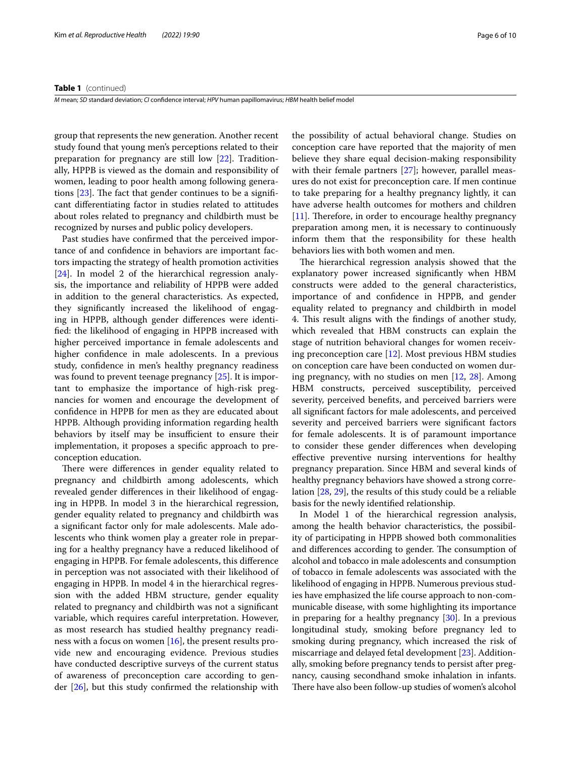#### **Table 1** (continued)

*M* mean; *SD* standard deviation; *CI* confdence interval; *HPV* human papillomavirus; *HBM* health belief model

group that represents the new generation. Another recent study found that young men's perceptions related to their preparation for pregnancy are still low [\[22\]](#page-8-21). Traditionally, HPPB is viewed as the domain and responsibility of women, leading to poor health among following generations  $[23]$ . The fact that gender continues to be a significant diferentiating factor in studies related to attitudes about roles related to pregnancy and childbirth must be recognized by nurses and public policy developers.

Past studies have confrmed that the perceived importance of and confdence in behaviors are important factors impacting the strategy of health promotion activities [[24\]](#page-8-23). In model 2 of the hierarchical regression analysis, the importance and reliability of HPPB were added in addition to the general characteristics. As expected, they signifcantly increased the likelihood of engaging in HPPB, although gender diferences were identifed: the likelihood of engaging in HPPB increased with higher perceived importance in female adolescents and higher confdence in male adolescents. In a previous study, confdence in men's healthy pregnancy readiness was found to prevent teenage pregnancy [\[25\]](#page-8-24). It is important to emphasize the importance of high-risk pregnancies for women and encourage the development of confdence in HPPB for men as they are educated about HPPB. Although providing information regarding health behaviors by itself may be insufficient to ensure their implementation, it proposes a specifc approach to preconception education.

There were differences in gender equality related to pregnancy and childbirth among adolescents, which revealed gender diferences in their likelihood of engaging in HPPB. In model 3 in the hierarchical regression, gender equality related to pregnancy and childbirth was a signifcant factor only for male adolescents. Male adolescents who think women play a greater role in preparing for a healthy pregnancy have a reduced likelihood of engaging in HPPB. For female adolescents, this diference in perception was not associated with their likelihood of engaging in HPPB. In model 4 in the hierarchical regression with the added HBM structure, gender equality related to pregnancy and childbirth was not a signifcant variable, which requires careful interpretation. However, as most research has studied healthy pregnancy readiness with a focus on women [\[16](#page-8-15)], the present results provide new and encouraging evidence. Previous studies have conducted descriptive surveys of the current status of awareness of preconception care according to gender [[26\]](#page-8-25), but this study confrmed the relationship with

the possibility of actual behavioral change. Studies on conception care have reported that the majority of men believe they share equal decision-making responsibility with their female partners [\[27](#page-8-26)]; however, parallel measures do not exist for preconception care. If men continue to take preparing for a healthy pregnancy lightly, it can have adverse health outcomes for mothers and children  $[11]$  $[11]$ . Therefore, in order to encourage healthy pregnancy preparation among men, it is necessary to continuously inform them that the responsibility for these health behaviors lies with both women and men.

The hierarchical regression analysis showed that the explanatory power increased signifcantly when HBM constructs were added to the general characteristics, importance of and confdence in HPPB, and gender equality related to pregnancy and childbirth in model 4. This result aligns with the findings of another study, which revealed that HBM constructs can explain the stage of nutrition behavioral changes for women receiving preconception care [[12\]](#page-8-11). Most previous HBM studies on conception care have been conducted on women during pregnancy, with no studies on men [\[12](#page-8-11), [28](#page-8-27)]. Among HBM constructs, perceived susceptibility, perceived severity, perceived benefts, and perceived barriers were all signifcant factors for male adolescents, and perceived severity and perceived barriers were signifcant factors for female adolescents. It is of paramount importance to consider these gender diferences when developing efective preventive nursing interventions for healthy pregnancy preparation. Since HBM and several kinds of healthy pregnancy behaviors have showed a strong correlation [[28,](#page-8-27) [29](#page-8-28)], the results of this study could be a reliable basis for the newly identifed relationship.

In Model 1 of the hierarchical regression analysis, among the health behavior characteristics, the possibility of participating in HPPB showed both commonalities and differences according to gender. The consumption of alcohol and tobacco in male adolescents and consumption of tobacco in female adolescents was associated with the likelihood of engaging in HPPB. Numerous previous studies have emphasized the life course approach to non-communicable disease, with some highlighting its importance in preparing for a healthy pregnancy [[30\]](#page-8-29). In a previous longitudinal study, smoking before pregnancy led to smoking during pregnancy, which increased the risk of miscarriage and delayed fetal development [[23](#page-8-22)]. Additionally, smoking before pregnancy tends to persist after pregnancy, causing secondhand smoke inhalation in infants. There have also been follow-up studies of women's alcohol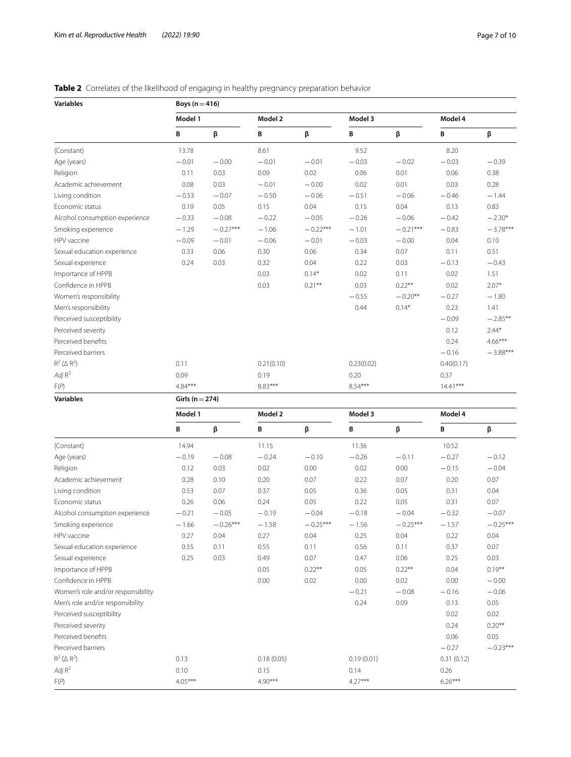# **Variables Boys** (n = 416) **Model 1 Model 2 Model 3 Model 4 B β B β B β B β** (Constant) 13.78 8.61 9.52 8.20 Age (years)  $-0.01 -0.01 -0.00 -0.01 -0.01 -0.03 -0.02 -0.39 -0.39$ Religion 0.11 0.03 0.09 0.02 0.06 0.01 0.06 0.38 Academic achievement 0.08 0.03 −0.01 −0.00 0.02 0.01 0.03 0.28 Living condition  $-0.53$   $-0.07$   $-0.50$   $-0.06$   $-0.51$   $-0.06$   $-0.46$   $-1.44$ Economic status 0.19 0.05 0.15 0.04 0.15 0.04 0.13 0.83 Alcohol consumption experience  $-0.33$   $-0.08$   $-0.22$   $-0.05$   $-0.26$   $-0.06$   $-0.42$   $-2.30*$ <br>
Smoking experience  $-1.29$   $-0.27***$   $-1.06$   $-0.22***$   $-1.01$   $-0.21***$   $-0.83$   $-3.78***$ Smoking experience −1.29 −0.27\*\*\* −1.06 −0.22\*\*\* −1.01 −0.21\*\*\* −0.83 −3.78\*\*\* HPV vaccine −0.09 −0.01 −0.06 −0.01 −0.03 −0.00 0.04 0.10 Sexual education experience 0.33 0.06 0.30 0.06 0.34 0.07 0.11 0.51 Sexual experience 0.24 0.03 0.32 0.04 0.22 0.03 −0.13 −0.43 Importance of HPPB 0.03 0.14\* 0.02 0.11 0.02 1.51 Confidence in HPPB 0.03 0.21\*\* 0.03 0.21\*\* 0.03 0.22\*\* 0.02 2.07\* Women's responsibility − −0.55 −0.20<sup>\*\*</sup> −0.27 −1.80<br>
Men's responsibility − −0.27 −1.80<br>
1.41 − −0.23 −1.41 Men's responsibility Perceived susceptibility −0.09 − 2.85<sup>\*\*</sup> Perceived severity and the set of the control of the control of the control of the control of the control of the control of the control of the control of the control of the control of the control of the control of the cont Perceived benefits and the set of the set of the set of the set of the set of the set of the set of the set of the set of the set of the set of the set of the set of the set of the set of the set of the set of the set of t Perceived barriers  $-0.16$   $-3.88***$  $R^2$  ( $\triangle R^2$ ) 0.11 0.21(0.10) 0.23(0.02) 0.40(0.17) *Adj* R<sup>2</sup> 0.09 0.09 0.19 0.20 0.20 0.37 F(*P*) 4.84\*\*\* 8.83\*\*\* 8.54\*\*\* 14.41\*\*\* **Variables Girls (n**=**274)**

<span id="page-6-0"></span>

**Model 1 Model 2 Model 3 Model 4 B β B β B β B β** (Constant) 18.52 10.52 11.15 10.52 11.15 10.52 11.36 10.52 Age (years) −0.19 −0.08 −0.24 −0.10 −0.26 −0.11 −0.27 −0.12 Religion 0.12 0.03 0.02 0.00 0.02 0.00 −0.15 −0.04 Academic achievement **0.28** 0.10 0.20 0.07 0.22 0.07 0.20 0.07 0.20 Living condition 0.53 0.07 0.37 0.05 0.36 0.05 0.31 0.04 Economic status 0.26 0.06 0.24 0.05 0.22 0.05 0.31 0.07 Alcohol consumption experience  $-0.21$   $-0.05$   $-0.19$   $-0.04$   $-0.18$   $-0.04$   $-0.32$   $-0.07$ <br>
Smoking experience  $-1.66$   $-0.26***$   $-1.58$   $-0.25***$   $-1.56$   $-0.25***$   $-1.57$   $-0.25***$ Smoking experience −1.66 −0.26\*\*\* −1.58 −0.25\*\*\* −1.56 −0.25\*\*\* −1.57 −0.25\*\*\* HPV vaccine 0.27 0.04 0.27 0.04 0.25 0.04 0.22 0.04 Sexual education experience 0.55 0.11 0.55 0.11 0.56 0.11 0.37 0.07 Sexual experience  $0.25$  0.03 0.49 0.07 0.47 0.06 0.25 0.03 Importance of HPPB 0.05 0.22\*\* 0.05 0.22\*\* 0.05 0.22\*\* 0.04 0.19\*\* Confidence in HPPB **6.000** 0.00 0.00 0.02 0.00 0.02 0.00 0.02 0.00 −0.00 Women's role and/or responsibility  $-0.06$   $-0.06$   $-0.06$   $-0.06$   $-0.06$ Men's role and/or responsibility and the control of the control of the control of the control of the control of the control of the control of the control of the control of the control of the control of the control of the c Perceived susceptibility 0.02 0.02 Perceived severity and the control of the control of the control of the control of the control of the control of the control of the control of the control of the control of the control of the control of the control of the Perceived benefts 0.06 0.05 Perceived barriers  $-0.27$   $-0.23***$  $R^2$  ( $\triangle R^2$ ) 0.13 0.18 (0.05) 0.19 (0.01) 0.31 (0.12) *Adj* R<sup>2</sup> 0.10 0.15 0.14 0.26 F(*P*) 4.05\*\*\* 4.90\*\*\* 4.27\*\*\* 6.26\*\*\*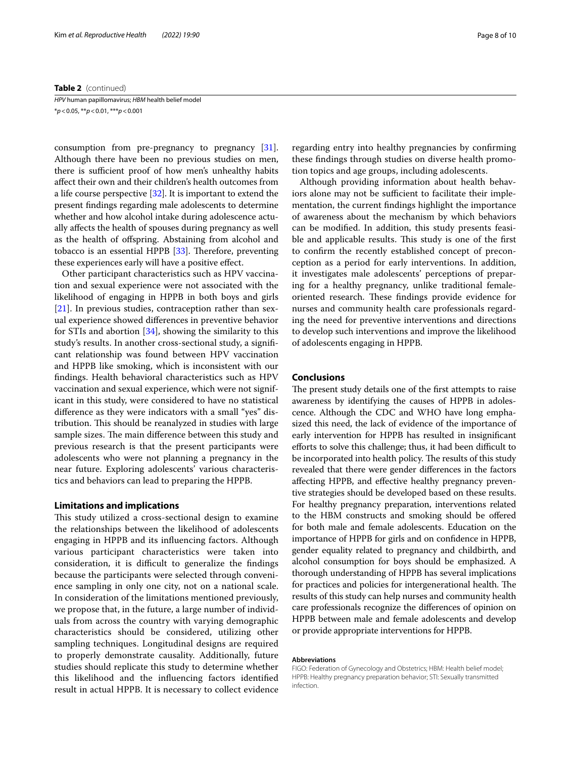#### **Table 2** (continued)

*HPV* human papillomavirus; *HBM* health belief model \**p*<0.05, \*\**p*<0.01, \*\*\**p*<0.001

consumption from pre-pregnancy to pregnancy [\[31](#page-8-30)]. Although there have been no previous studies on men, there is sufficient proof of how men's unhealthy habits afect their own and their children's health outcomes from a life course perspective [\[32\]](#page-8-31). It is important to extend the present fndings regarding male adolescents to determine whether and how alcohol intake during adolescence actually afects the health of spouses during pregnancy as well as the health of ofspring. Abstaining from alcohol and tobacco is an essential HPPB  $[33]$  $[33]$  $[33]$ . Therefore, preventing these experiences early will have a positive efect.

Other participant characteristics such as HPV vaccination and sexual experience were not associated with the likelihood of engaging in HPPB in both boys and girls [[21\]](#page-8-20). In previous studies, contraception rather than sexual experience showed diferences in preventive behavior for STIs and abortion  $[34]$  $[34]$ , showing the similarity to this study's results. In another cross-sectional study, a signifcant relationship was found between HPV vaccination and HPPB like smoking, which is inconsistent with our fndings. Health behavioral characteristics such as HPV vaccination and sexual experience, which were not significant in this study, were considered to have no statistical diference as they were indicators with a small "yes" distribution. This should be reanalyzed in studies with large sample sizes. The main difference between this study and previous research is that the present participants were adolescents who were not planning a pregnancy in the near future. Exploring adolescents' various characteristics and behaviors can lead to preparing the HPPB.

# **Limitations and implications**

This study utilized a cross-sectional design to examine the relationships between the likelihood of adolescents engaging in HPPB and its infuencing factors. Although various participant characteristics were taken into consideration, it is difficult to generalize the findings because the participants were selected through convenience sampling in only one city, not on a national scale. In consideration of the limitations mentioned previously, we propose that, in the future, a large number of individuals from across the country with varying demographic characteristics should be considered, utilizing other sampling techniques. Longitudinal designs are required to properly demonstrate causality. Additionally, future studies should replicate this study to determine whether this likelihood and the infuencing factors identifed result in actual HPPB. It is necessary to collect evidence regarding entry into healthy pregnancies by confrming these fndings through studies on diverse health promotion topics and age groups, including adolescents.

Although providing information about health behaviors alone may not be sufficient to facilitate their implementation, the current fndings highlight the importance of awareness about the mechanism by which behaviors can be modifed. In addition, this study presents feasible and applicable results. This study is one of the first to confrm the recently established concept of preconception as a period for early interventions. In addition, it investigates male adolescents' perceptions of preparing for a healthy pregnancy, unlike traditional femaleoriented research. These findings provide evidence for nurses and community health care professionals regarding the need for preventive interventions and directions to develop such interventions and improve the likelihood of adolescents engaging in HPPB.

# **Conclusions**

The present study details one of the first attempts to raise awareness by identifying the causes of HPPB in adolescence. Although the CDC and WHO have long emphasized this need, the lack of evidence of the importance of early intervention for HPPB has resulted in insignifcant efforts to solve this challenge; thus, it had been difficult to be incorporated into health policy. The results of this study revealed that there were gender diferences in the factors afecting HPPB, and efective healthy pregnancy preventive strategies should be developed based on these results. For healthy pregnancy preparation, interventions related to the HBM constructs and smoking should be ofered for both male and female adolescents. Education on the importance of HPPB for girls and on confdence in HPPB, gender equality related to pregnancy and childbirth, and alcohol consumption for boys should be emphasized. A thorough understanding of HPPB has several implications for practices and policies for intergenerational health. The results of this study can help nurses and community health care professionals recognize the diferences of opinion on HPPB between male and female adolescents and develop or provide appropriate interventions for HPPB.

#### **Abbreviations**

FIGO: Federation of Gynecology and Obstetrics; HBM: Health belief model; HPPB: Healthy pregnancy preparation behavior; STI: Sexually transmitted infection.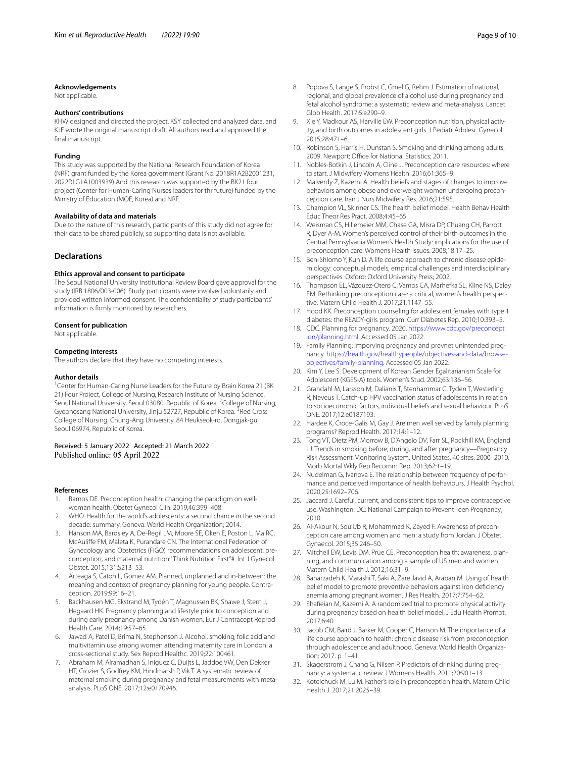#### **Acknowledgements**

Not applicable.

## **Authors' contributions**

KHW designed and directed the project, KSY collected and analyzed data, and KJE wrote the original manuscript draft. All authors read and approved the fnal manuscript.

#### **Funding**

This study was supported by the National Research Foundation of Korea (NRF) grant funded by the Korea government (Grant No. 2018R1A2B2001231, 2022R1G1A1003939) And this research was supported by the BK21 four project (Center for Human-Caring Nurses leaders for thr future) funded by the Ministry of Education (MOE, Korea) and NRF.

#### **Availability of data and materials**

Due to the nature of this research, participants of this study did not agree for their data to be shared publicly, so supporting data is not available.

#### **Declarations**

#### **Ethics approval and consent to participate**

The Seoul National University Institutional Review Board gave approval for the study (IRB 1806/003-006). Study participants were involved voluntarily and provided written informed consent. The confdentiality of study participants' information is frmly monitored by researchers.

#### **Consent for publication**

Not applicable.

#### **Competing interests**

The authors declare that they have no competing interests.

#### **Author details**

<sup>1</sup> Center for Human-Caring Nurse Leaders for the Future by Brain Korea 21 (BK 21) Four Project, College of Nursing, Research Institute of Nursing Science, Seoul National University, Seoul 03080, Republic of Korea. <sup>2</sup>College of Nursing, Gyeongsang National University, Jinju 52727, Republic of Korea. <sup>3</sup>Red Cross College of Nursing, Chung-Ang University, 84 Heukseok-ro, Dongjak-gu, Seoul 06974, Republic of Korea.

# Received: 5 January 2022 Accepted: 21 March 2022

#### **References**

- <span id="page-8-0"></span>Ramos DE. Preconception health: changing the paradigm on wellwoman health. Obstet Gynecol Clin. 2019;46:399–408.
- <span id="page-8-1"></span>2. WHO. Health for the world's adolescents: a second chance in the second decade: summary. Geneva: World Health Organization; 2014.
- <span id="page-8-2"></span>3. Hanson MA, Bardsley A, De-Regil LM, Moore SE, Oken E, Poston L, Ma RC, McAulife FM, Maleta K, Purandare CN. The International Federation of Gynecology and Obstetrics (FIGO) recommendations on adolescent, preconception, and maternal nutrition:"Think Nutrition First"#. Int J Gynecol Obstet. 2015;131:S213–53.
- <span id="page-8-3"></span>4. Arteaga S, Caton L, Gomez AM. Planned, unplanned and in-between: the meaning and context of pregnancy planning for young people. Contraception. 2019;99:16–21.
- <span id="page-8-4"></span>5. Backhausen MG, Ekstrand M, Tydén T, Magnussen BK, Shawe J, Stern J, Hegaard HK. Pregnancy planning and lifestyle prior to conception and during early pregnancy among Danish women. Eur J Contracept Reprod Health Care. 2014;19:57–65.
- <span id="page-8-5"></span>6. Jawad A, Patel D, Brima N, Stephenson J. Alcohol, smoking, folic acid and multivitamin use among women attending maternity care in London: a cross-sectional study. Sex Reprod Healthc. 2019;22:100461.
- <span id="page-8-6"></span>7. Abraham M, Alramadhan S, Iniguez C, Duijts L, Jaddoe VW, Den Dekker HT, Crozier S, Godfrey KM, Hindmarsh P, Vik T. A systematic review of maternal smoking during pregnancy and fetal measurements with metaanalysis. PLoS ONE. 2017;12:e0170946.
- <span id="page-8-7"></span>8. Popova S, Lange S, Probst C, Gmel G, Rehm J. Estimation of national, regional, and global prevalence of alcohol use during pregnancy and fetal alcohol syndrome: a systematic review and meta-analysis. Lancet Glob Health. 2017;5:e290–9.
- <span id="page-8-8"></span>9. Xie Y, Madkour AS, Harville EW. Preconception nutrition, physical activity, and birth outcomes in adolescent girls. J Pediatr Adolesc Gynecol. 2015;28:471–6.
- <span id="page-8-9"></span>10. Robinson S, Harris H, Dunstan S. Smoking and drinking among adults, 2009. Newport: Office for National Statistics; 2011.
- <span id="page-8-10"></span>11. Nobles-Botkin J, Lincoln A, Cline J. Preconception care resources: where to start. J Midwifery Womens Health. 2016;61:365–9.
- <span id="page-8-11"></span>12. Malverdy Z, Kazemi A. Health beliefs and stages of changes to improve behaviors among obese and overweight women undergoing preconception care. Iran J Nurs Midwifery Res. 2016;21:595.
- <span id="page-8-12"></span>13. Champion VL, Skinner CS. The health belief model. Health Behav Health Educ Theor Res Pract. 2008;4:45–65.
- <span id="page-8-13"></span>14. Weisman CS, Hillemeier MM, Chase GA, Misra DP, Chuang CH, Parrott R, Dyer A-M. Women's perceived control of their birth outcomes in the Central Pennsylvania Women's Health Study: implications for the use of preconception care. Womens Health Issues. 2008;18:17–25.
- <span id="page-8-14"></span>15. Ben-Shlomo Y, Kuh D. A life course approach to chronic disease epidemiology: conceptual models, empirical challenges and interdisciplinary perspectives. Oxford: Oxford University Press; 2002.
- <span id="page-8-15"></span>16. Thompson EL, Vázquez-Otero C, Vamos CA, Marhefka SL, Kline NS, Daley EM. Rethinking preconception care: a critical, women's health perspective. Matern Child Health J. 2017;21:1147–55.
- <span id="page-8-16"></span>17. Hood KK. Preconception counseling for adolescent females with type 1 diabetes: the READY-girls program. Curr Diabetes Rep. 2010;10:393–5.
- <span id="page-8-17"></span>18. CDC. Planning for pregnancy. 2020. [https://www.cdc.gov/preconcept](https://www.cdc.gov/preconception/planning.html) [ion/planning.html.](https://www.cdc.gov/preconception/planning.html) Accessed 05 Jan 2022.
- <span id="page-8-18"></span>19. Family Planning: Imporving pregnancy and prevnet unintended pregnancy. [https://health.gov/healthypeople/objectives-and-data/browse](https://health.gov/healthypeople/objectives-and-data/browse-objectives/family-planning)[objectives/family-planning.](https://health.gov/healthypeople/objectives-and-data/browse-objectives/family-planning) Accessed 05 Jan 2022.
- <span id="page-8-19"></span>20. Kim Y, Lee S. Development of Korean Gender Egalitarianism Scale for Adolescent (KGES-A) tools. Women's Stud. 2002;63:136–56.
- <span id="page-8-20"></span>21. Grandahl M, Larsson M, Dalianis T, Stenhammar C, Tyden T, Westerling R, Neveus T. Catch-up HPV vaccination status of adolescents in relation to socioeconomic factors, individual beliefs and sexual behaviour. PLoS ONE. 2017;12:e0187193.
- <span id="page-8-21"></span>22. Hardee K, Croce-Galis M, Gay J. Are men well served by family planning programs? Reprod Health. 2017;14:1–12.
- <span id="page-8-22"></span>23. Tong VT, Dietz PM, Morrow B, D'Angelo DV, Farr SL, Rockhill KM, England LJ. Trends in smoking before, during, and after pregnancy—Pregnancy Risk Assessment Monitoring System, United States, 40 sites, 2000–2010. Morb Mortal Wkly Rep Recomm Rep. 2013;62:1–19.
- <span id="page-8-23"></span>24. Nudelman G, Ivanova E. The relationship between frequency of performance and perceived importance of health behaviours. J Health Psychol. 2020;25:1692–706.
- <span id="page-8-24"></span>25. Jaccard J. Careful, current, and consistent: tips to improve contraceptive use. Washington, DC: National Campaign to Prevent Teen Pregnancy; 2010.
- <span id="page-8-25"></span>26. Al-Akour N, Sou'Ub R, Mohammad K, Zayed F. Awareness of preconception care among women and men: a study from Jordan. J Obstet Gynaecol. 2015;35:246–50.
- <span id="page-8-26"></span>27. Mitchell EW, Levis DM, Prue CE. Preconception health: awareness, planning, and communication among a sample of US men and women. Matern Child Health J. 2012;16:31–9.
- <span id="page-8-27"></span>28. Baharzadeh K, Marashi T, Saki A, Zare Javid A, Araban M. Using of health belief model to promote preventive behaviors against iron defciency anemia among pregnant women. J Res Health. 2017;7:754–62.
- <span id="page-8-28"></span>29. Shafeian M, Kazemi A. A randomized trial to promote physical activity during pregnancy based on health belief model. J Edu Health Promot. 2017;6:40.
- <span id="page-8-29"></span>30. Jacob CM, Baird J, Barker M, Cooper C, Hanson M. The importance of a life course approach to health: chronic disease risk from preconception through adolescence and adulthood. Geneva: World Health Organization; 2017. p. 1–41.
- <span id="page-8-30"></span>31. Skagerstrom J, Chang G, Nilsen P. Predictors of drinking during pregnancy: a systematic review. J Womens Health. 2011;20:901–13.
- <span id="page-8-31"></span>32. Kotelchuck M, Lu M. Father's role in preconception health. Matern Child Health J. 2017;21:2025–39.